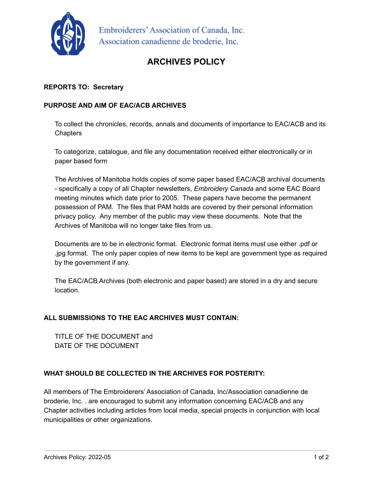

Embroiderers' Association of Canada, Inc. Association canadienne de broderie, Inc.

# **ARCHIVES POLICY**

### **REPORTS TO: Secretary**

#### **PURPOSE AND AIM OF EAC/ACB ARCHIVES**

To collect the chronicles, records, annals and documents of importance to EAC/ACB and its **Chapters** 

To categorize, catalogue, and file any documentation received either electronically or in paper based form

The Archives of Manitoba holds copies of some paper based EAC/ACB archival documents - specifically a copy of all Chapter newsletters, *Embroidery Canada* and some EAC Board meeting minutes which date prior to 2005. These papers have become the permanent possession of PAM. The files that PAM holds are covered by their personal information privacy policy. Any member of the public may view these documents. Note that the Archives of Manitoba will no longer take files from us.

Documents are to be in electronic format. Electronic format items must use either .pdf or .jpg format. The only paper copies of new items to be kept are government type as required by the government if any.

The EAC/ACB Archives (both electronic and paper based) are stored in a dry and secure location.

#### **ALL SUBMISSIONS TO THE EAC ARCHIVES MUST CONTAIN:**

TITLE OF THE DOCUMENT and DATE OF THE DOCUMENT

## **WHAT SHOULD BE COLLECTED IN THE ARCHIVES FOR POSTERITY:**

All members of The Embroiderers' Association of Canada, Inc/Association canadienne de broderie, Inc. . are encouraged to submit any information concerning EAC/ACB and any Chapter activities including articles from local media, special projects in conjunction with local municipalities or other organizations.